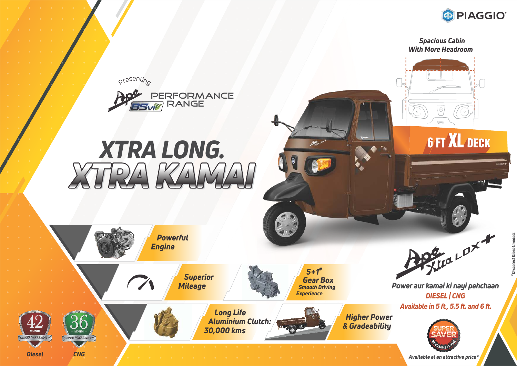

 *Spacious Cabin With More Headroom*

**6 FT XL DECK** 

presenting



## *XTRA LONG. XTRA KAMAI*





*Diesel CNG*







*Long Life Aluminium Clutch: 30,000 kms*



*Higher Power & Gradeability*

*DIESEL | CNG Power aur kamai ki nayi pehchaan*

Steve LDX +

*Available in 5 ft., 5.5 ft. and 6 ft.*



*Available at an attractive price\**